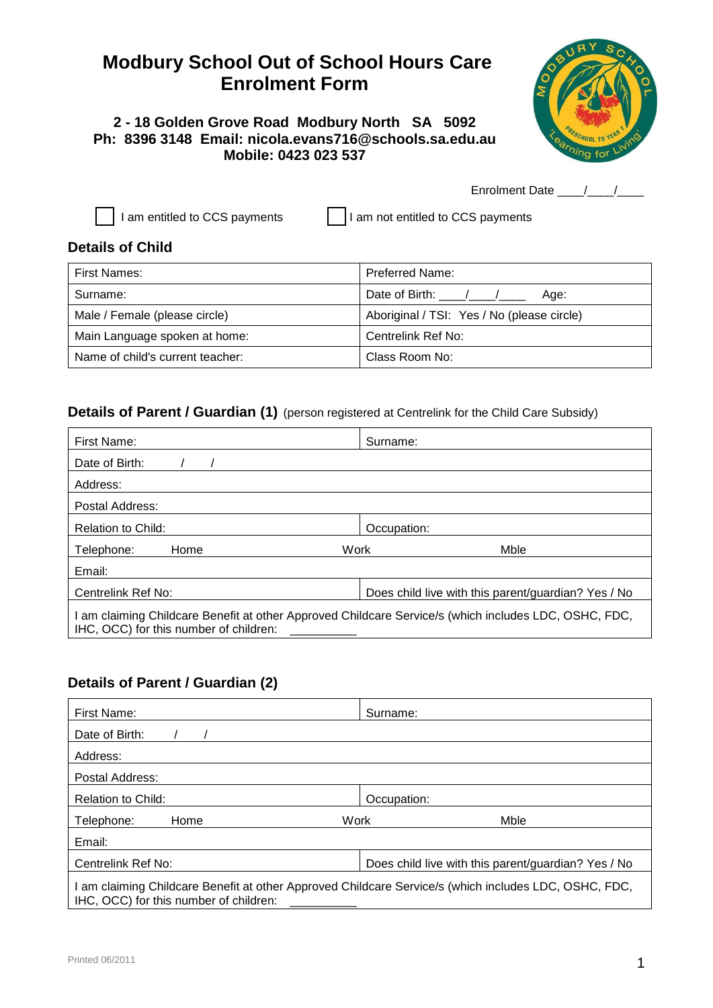# **Modbury School Out of School Hours Care Enrolment Form**

## **2 - 18 Golden Grove Road Modbury North SA 5092 Ph: 8396 3148 Email: nicola.evans716@schools.sa.edu.au Mobile: 0423 023 537**



Enrolment Date  $\frac{1}{\sqrt{2}}$ 

 $\lceil$  I am entitled to CCS payments  $\lceil$  I am not entitled to CCS payments

## **Details of Child**

| First Names:                     | <b>Preferred Name:</b>                     |  |
|----------------------------------|--------------------------------------------|--|
| Surname:                         | Date of Birth: / /<br>Age:                 |  |
| Male / Female (please circle)    | Aboriginal / TSI: Yes / No (please circle) |  |
| Main Language spoken at home:    | Centrelink Ref No:                         |  |
| Name of child's current teacher: | Class Room No:                             |  |

# **Details of Parent / Guardian (1)** (person registered at Centrelink for the Child Care Subsidy)

| First Name:                                                                                                                                   | Surname:                                            |
|-----------------------------------------------------------------------------------------------------------------------------------------------|-----------------------------------------------------|
| Date of Birth:                                                                                                                                |                                                     |
| Address:                                                                                                                                      |                                                     |
| Postal Address:                                                                                                                               |                                                     |
| Relation to Child:                                                                                                                            | Occupation:                                         |
| Work<br>Telephone:<br>Home                                                                                                                    | Mble                                                |
| Email:                                                                                                                                        |                                                     |
| Centrelink Ref No:                                                                                                                            | Does child live with this parent/guardian? Yes / No |
| am claiming Childcare Benefit at other Approved Childcare Service/s (which includes LDC, OSHC, FDC,<br>IHC, OCC) for this number of children: |                                                     |

# **Details of Parent / Guardian (2)**

| First Name:                                                                                                                                     | Surname:                                            |  |  |
|-------------------------------------------------------------------------------------------------------------------------------------------------|-----------------------------------------------------|--|--|
| Date of Birth:                                                                                                                                  |                                                     |  |  |
| Address:                                                                                                                                        |                                                     |  |  |
| Postal Address:                                                                                                                                 |                                                     |  |  |
| <b>Relation to Child:</b>                                                                                                                       | Occupation:                                         |  |  |
| Work<br>Home<br>Telephone:                                                                                                                      | Mble                                                |  |  |
| Email:                                                                                                                                          |                                                     |  |  |
| Centrelink Ref No:                                                                                                                              | Does child live with this parent/guardian? Yes / No |  |  |
| I am claiming Childcare Benefit at other Approved Childcare Service/s (which includes LDC, OSHC, FDC,<br>IHC, OCC) for this number of children: |                                                     |  |  |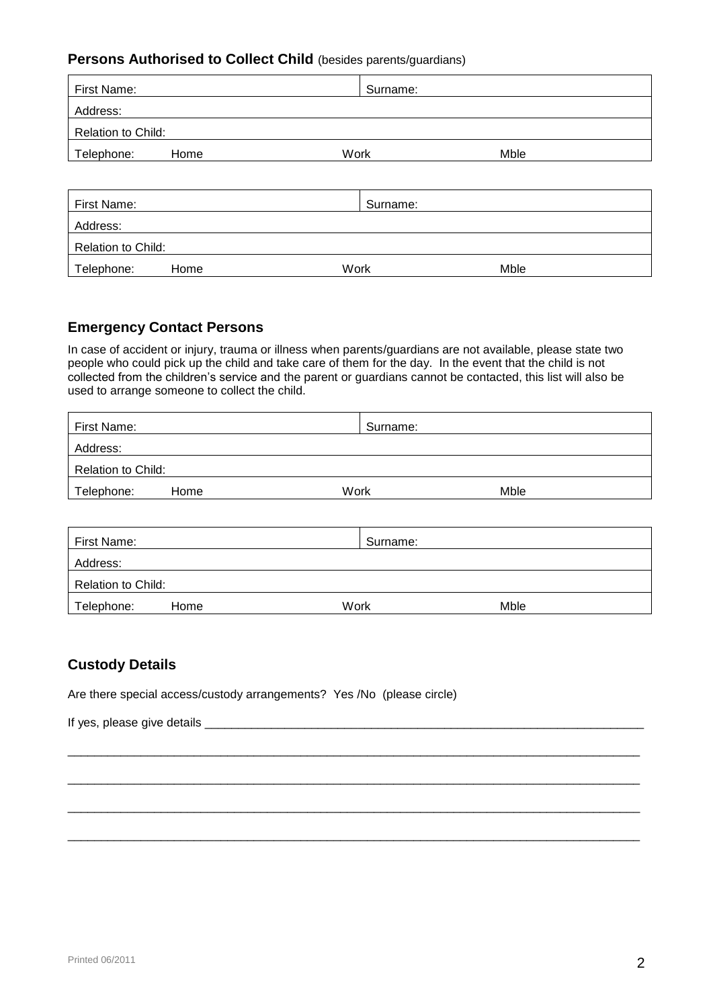### **Persons Authorised to Collect Child** (besides parents/guardians)

| First Name:        |      | Surname: |      |  |
|--------------------|------|----------|------|--|
| Address:           |      |          |      |  |
| Relation to Child: |      |          |      |  |
| Telephone:         | Home | Work     | Mble |  |
|                    |      |          |      |  |

| First Name:               |      | Surname: |      |
|---------------------------|------|----------|------|
| Address:                  |      |          |      |
| <b>Relation to Child:</b> |      |          |      |
| Telephone:                | Home | Work     | Mble |

#### **Emergency Contact Persons**

In case of accident or injury, trauma or illness when parents/guardians are not available, please state two people who could pick up the child and take care of them for the day. In the event that the child is not collected from the children's service and the parent or guardians cannot be contacted, this list will also be used to arrange someone to collect the child.

| First Name:        |      | Surname: |      |  |
|--------------------|------|----------|------|--|
| Address:           |      |          |      |  |
| Relation to Child: |      |          |      |  |
| Telephone:         | Home | Work     | Mble |  |

| First Name:               |      | Surname: |      |
|---------------------------|------|----------|------|
| Address:                  |      |          |      |
| <b>Relation to Child:</b> |      |          |      |
| Telephone:                | Home | Work     | Mble |

\_\_\_\_\_\_\_\_\_\_\_\_\_\_\_\_\_\_\_\_\_\_\_\_\_\_\_\_\_\_\_\_\_\_\_\_\_\_\_\_\_\_\_\_\_\_\_\_\_\_\_\_\_\_\_\_\_\_\_\_\_\_\_\_\_\_\_\_\_\_\_\_\_\_\_\_\_\_\_\_\_\_\_\_\_\_

\_\_\_\_\_\_\_\_\_\_\_\_\_\_\_\_\_\_\_\_\_\_\_\_\_\_\_\_\_\_\_\_\_\_\_\_\_\_\_\_\_\_\_\_\_\_\_\_\_\_\_\_\_\_\_\_\_\_\_\_\_\_\_\_\_\_\_\_\_\_\_\_\_\_\_\_\_\_\_\_\_\_\_\_\_\_

\_\_\_\_\_\_\_\_\_\_\_\_\_\_\_\_\_\_\_\_\_\_\_\_\_\_\_\_\_\_\_\_\_\_\_\_\_\_\_\_\_\_\_\_\_\_\_\_\_\_\_\_\_\_\_\_\_\_\_\_\_\_\_\_\_\_\_\_\_\_\_\_\_\_\_\_\_\_\_\_\_\_\_\_\_\_

\_\_\_\_\_\_\_\_\_\_\_\_\_\_\_\_\_\_\_\_\_\_\_\_\_\_\_\_\_\_\_\_\_\_\_\_\_\_\_\_\_\_\_\_\_\_\_\_\_\_\_\_\_\_\_\_\_\_\_\_\_\_\_\_\_\_\_\_\_\_\_\_\_\_\_\_\_\_\_\_\_\_\_\_\_\_

#### **Custody Details**

Are there special access/custody arrangements? Yes /No (please circle)

If yes, please give details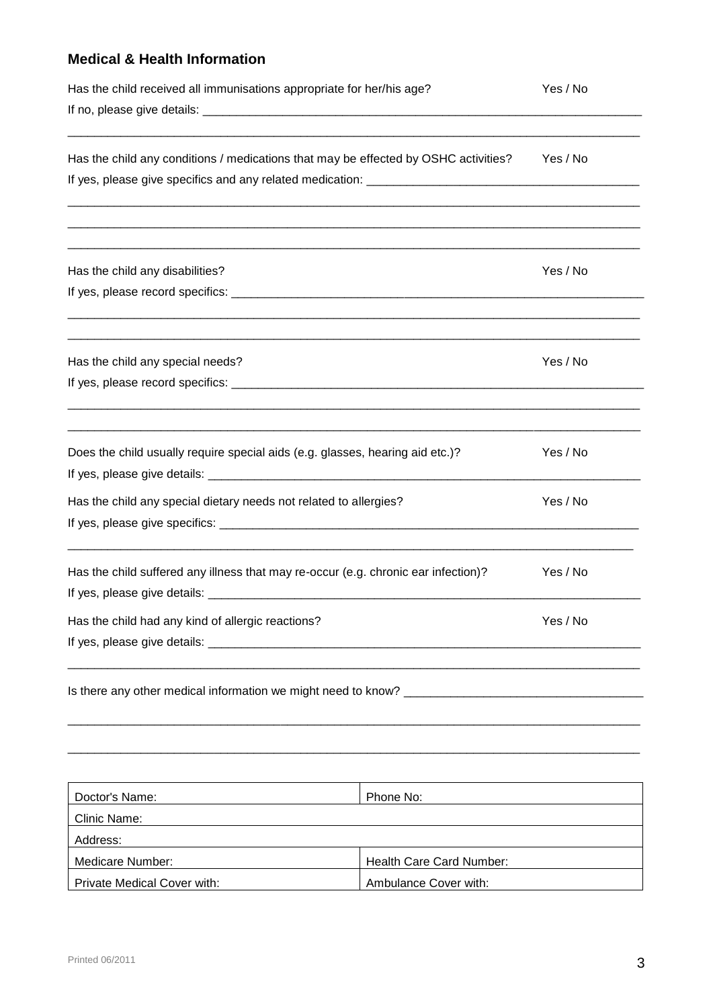# **Medical & Health Information**

| Has the child received all immunisations appropriate for her/his age?               | Yes / No |
|-------------------------------------------------------------------------------------|----------|
| Has the child any conditions / medications that may be effected by OSHC activities? | Yes / No |
|                                                                                     |          |
| Has the child any disabilities?                                                     | Yes / No |
|                                                                                     |          |
| Has the child any special needs?                                                    | Yes / No |
|                                                                                     |          |
| Does the child usually require special aids (e.g. glasses, hearing aid etc.)?       | Yes / No |
| Has the child any special dietary needs not related to allergies?                   | Yes / No |
| Has the child suffered any illness that may re-occur (e.g. chronic ear infection)?  | Yes / No |
| Has the child had any kind of allergic reactions?                                   | Yes / No |
|                                                                                     |          |
|                                                                                     |          |

| Doctor's Name:              | Phone No:                |
|-----------------------------|--------------------------|
| Clinic Name:                |                          |
| Address:                    |                          |
| Medicare Number:            | Health Care Card Number: |
| Private Medical Cover with: | Ambulance Cover with:    |